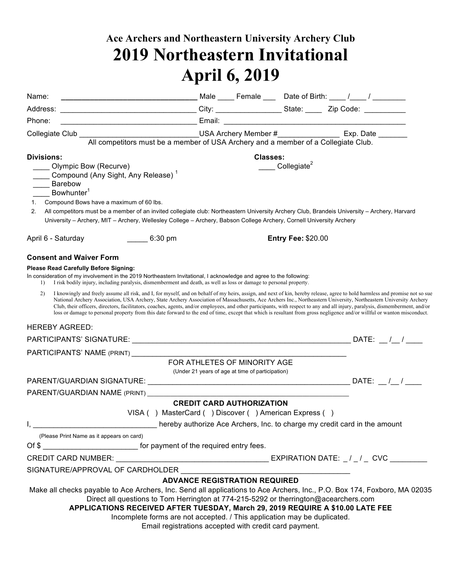## **Ace Archers and Northeastern University Archery Club 2019 Northeastern Invitational April 6, 2019**

| Name:                                                                                                                                                                                                                                                                                                                                                                                                                                                             |                                                                                                                                                                                                                                                                                                                                                                                                                                                                                                                                 |          |                           |  |
|-------------------------------------------------------------------------------------------------------------------------------------------------------------------------------------------------------------------------------------------------------------------------------------------------------------------------------------------------------------------------------------------------------------------------------------------------------------------|---------------------------------------------------------------------------------------------------------------------------------------------------------------------------------------------------------------------------------------------------------------------------------------------------------------------------------------------------------------------------------------------------------------------------------------------------------------------------------------------------------------------------------|----------|---------------------------|--|
|                                                                                                                                                                                                                                                                                                                                                                                                                                                                   |                                                                                                                                                                                                                                                                                                                                                                                                                                                                                                                                 |          |                           |  |
| Phone:                                                                                                                                                                                                                                                                                                                                                                                                                                                            |                                                                                                                                                                                                                                                                                                                                                                                                                                                                                                                                 |          |                           |  |
|                                                                                                                                                                                                                                                                                                                                                                                                                                                                   |                                                                                                                                                                                                                                                                                                                                                                                                                                                                                                                                 |          |                           |  |
|                                                                                                                                                                                                                                                                                                                                                                                                                                                                   | All competitors must be a member of USA Archery and a member of a Collegiate Club.                                                                                                                                                                                                                                                                                                                                                                                                                                              |          |                           |  |
| <b>Divisions:</b>                                                                                                                                                                                                                                                                                                                                                                                                                                                 |                                                                                                                                                                                                                                                                                                                                                                                                                                                                                                                                 | Classes: |                           |  |
| Olympic Bow (Recurve)<br>Compound (Any Sight, Any Release) <sup>1</sup><br>Barebow<br>$\overline{\phantom{a}}$<br>Bowhunter <sup>1</sup><br>Compound Bows have a maximum of 60 lbs.<br>2.<br>All competitors must be a member of an invited collegiate club: Northeastern University Archery Club, Brandeis University - Archery, Harvard<br>University - Archery, MIT - Archery, Wellesley College - Archery, Babson College Archery, Cornell University Archery |                                                                                                                                                                                                                                                                                                                                                                                                                                                                                                                                 |          | Collegiate <sup>2</sup>   |  |
|                                                                                                                                                                                                                                                                                                                                                                                                                                                                   |                                                                                                                                                                                                                                                                                                                                                                                                                                                                                                                                 |          |                           |  |
| April 6 - Saturday<br>$\sim$ 6:30 pm                                                                                                                                                                                                                                                                                                                                                                                                                              |                                                                                                                                                                                                                                                                                                                                                                                                                                                                                                                                 |          | <b>Entry Fee: \$20.00</b> |  |
| <b>Consent and Waiver Form</b>                                                                                                                                                                                                                                                                                                                                                                                                                                    |                                                                                                                                                                                                                                                                                                                                                                                                                                                                                                                                 |          |                           |  |
| <b>Please Read Carefully Before Signing:</b><br>In consideration of my involvement in the 2019 Northeastern Invitational, I acknowledge and agree to the following:<br>I risk bodily injury, including paralysis, dismemberment and death, as well as loss or damage to personal property.<br>$\left  \right $                                                                                                                                                    |                                                                                                                                                                                                                                                                                                                                                                                                                                                                                                                                 |          |                           |  |
| I knowingly and freely assume all risk, and I, for myself, and on behalf of my heirs, assign, and next of kin, hereby release, agree to hold harmless and promise not so sue<br>2)                                                                                                                                                                                                                                                                                | National Archery Association, USA Archery, State Archery Association of Massachusetts, Ace Archers Inc., Northeastern University, Northeastern University Archery<br>Club, their officers, directors, facilitators, coaches, agents, and/or employees, and other participants, with respect to any and all injury, paralysis, dismemberment, and/or<br>loss or damage to personal property from this date forward to the end of time, except that which is resultant from gross negligence and/or willful or wanton misconduct. |          |                           |  |
| <b>HEREBY AGREED:</b>                                                                                                                                                                                                                                                                                                                                                                                                                                             |                                                                                                                                                                                                                                                                                                                                                                                                                                                                                                                                 |          |                           |  |
|                                                                                                                                                                                                                                                                                                                                                                                                                                                                   |                                                                                                                                                                                                                                                                                                                                                                                                                                                                                                                                 |          |                           |  |
|                                                                                                                                                                                                                                                                                                                                                                                                                                                                   |                                                                                                                                                                                                                                                                                                                                                                                                                                                                                                                                 |          |                           |  |
|                                                                                                                                                                                                                                                                                                                                                                                                                                                                   | FOR ATHLETES OF MINORITY AGE                                                                                                                                                                                                                                                                                                                                                                                                                                                                                                    |          |                           |  |
|                                                                                                                                                                                                                                                                                                                                                                                                                                                                   | (Under 21 years of age at time of participation)                                                                                                                                                                                                                                                                                                                                                                                                                                                                                |          |                           |  |
|                                                                                                                                                                                                                                                                                                                                                                                                                                                                   |                                                                                                                                                                                                                                                                                                                                                                                                                                                                                                                                 |          |                           |  |
| PARENT/GUARDIAN NAME (PRINT)                                                                                                                                                                                                                                                                                                                                                                                                                                      | <b>CREDIT CARD AUTHORIZATION</b>                                                                                                                                                                                                                                                                                                                                                                                                                                                                                                |          |                           |  |
|                                                                                                                                                                                                                                                                                                                                                                                                                                                                   | VISA () MasterCard () Discover () American Express ()                                                                                                                                                                                                                                                                                                                                                                                                                                                                           |          |                           |  |
| Ι,                                                                                                                                                                                                                                                                                                                                                                                                                                                                | hereby authorize Ace Archers, Inc. to charge my credit card in the amount                                                                                                                                                                                                                                                                                                                                                                                                                                                       |          |                           |  |
| (Please Print Name as it appears on card)                                                                                                                                                                                                                                                                                                                                                                                                                         |                                                                                                                                                                                                                                                                                                                                                                                                                                                                                                                                 |          |                           |  |
| Of \$                                                                                                                                                                                                                                                                                                                                                                                                                                                             |                                                                                                                                                                                                                                                                                                                                                                                                                                                                                                                                 |          |                           |  |
|                                                                                                                                                                                                                                                                                                                                                                                                                                                                   |                                                                                                                                                                                                                                                                                                                                                                                                                                                                                                                                 |          |                           |  |
| SIGNATURE/APPROVAL OF CARDHOLDER                                                                                                                                                                                                                                                                                                                                                                                                                                  |                                                                                                                                                                                                                                                                                                                                                                                                                                                                                                                                 |          |                           |  |
|                                                                                                                                                                                                                                                                                                                                                                                                                                                                   | <b>ADVANCE REGISTRATION REQUIRED</b>                                                                                                                                                                                                                                                                                                                                                                                                                                                                                            |          |                           |  |
| Make all checks payable to Ace Archers, Inc. Send all applications to Ace Archers, Inc., P.O. Box 174, Foxboro, MA 02035                                                                                                                                                                                                                                                                                                                                          | Direct all questions to Tom Herrington at 774-215-5292 or therrington@acearchers.com<br>APPLICATIONS RECEIVED AFTER TUESDAY, March 29, 2019 REQUIRE A \$10.00 LATE FEE<br>Incomplete forms are not accepted. / This application may be duplicated.<br>Email registrations accepted with credit card payment.                                                                                                                                                                                                                    |          |                           |  |